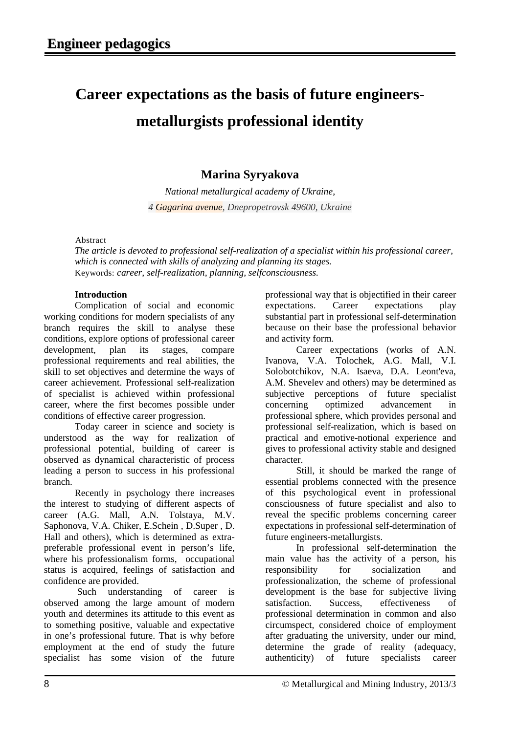## **Career expectations as the basis of future engineersmetallurgists professional identity**

## **Marina Syryakova**

*National metallurgical academy of Ukraine, 4 Gagarina avenue, Dnepropetrovsk 49600, Ukraine*

Abstract

*The article is devoted to professional self-realization of a specialist within his professional career, which is connected with skills of analyzing and planning its stages.*  Keywords: *career, self-realization, planning, selfconsciousness.*

## **Introduction**

Complication of social and economic working conditions for modern specialists of any branch requires the skill to analyse these conditions, explore options of professional career development, plan its stages, compare professional requirements and real abilities, the skill to set objectives and determine the ways of career achievement. Professional self-realization of specialist is achieved within professional career, where the first becomes possible under conditions of effective career progression.

Today career in science and society is understood as the way for realization of professional potential, building of career is observed as dynamical characteristic of process leading a person to success in his professional branch.

Recently in psychology there increases the interest to studying of different aspects of career (A.G. Mall, A.N. Tolstaya, M.V. Saphonova, V.A. Chiker, E.Schein , D.Super , D. Hall and others), which is determined as extrapreferable professional event in person's life, where his professionalism forms, occupational status is acquired, feelings of satisfaction and confidence are provided.

Such understanding of career is observed among the large amount of modern youth and determines its attitude to this event as to something positive, valuable and expectative in one's professional future. That is why before employment at the end of study the future specialist has some vision of the future

professional way that is objectified in their career expectations. Career expectations play substantial part in professional self-determination because on their base the professional behavior and activity form.

Career expectations (works of A.N. Ivanova, V.A. Tolochek, A.G. Mall, V.I. Solobotchikov, N.A. Isaeva, D.A. Leont'eva, A.M. Shevelev and others) may be determined as subjective perceptions of future specialist concerning optimized advancement in professional sphere, which provides personal and professional self-realization, which is based on practical and emotive-notional experience and gives to professional activity stable and designed character.

Still, it should be marked the range of essential problems connected with the presence of this psychological event in professional consciousness of future specialist and also to reveal the specific problems concerning career expectations in professional self-determination of future engineers-metallurgists.

In professional self-determination the main value has the activity of a person, his responsibility for socialization and professionalization, the scheme of professional development is the base for subjective living satisfaction. Success, effectiveness of professional determination in common and also circumspect, considered choice of employment after graduating the university, under our mind, determine the grade of reality (adequacy, authenticity) of future specialists career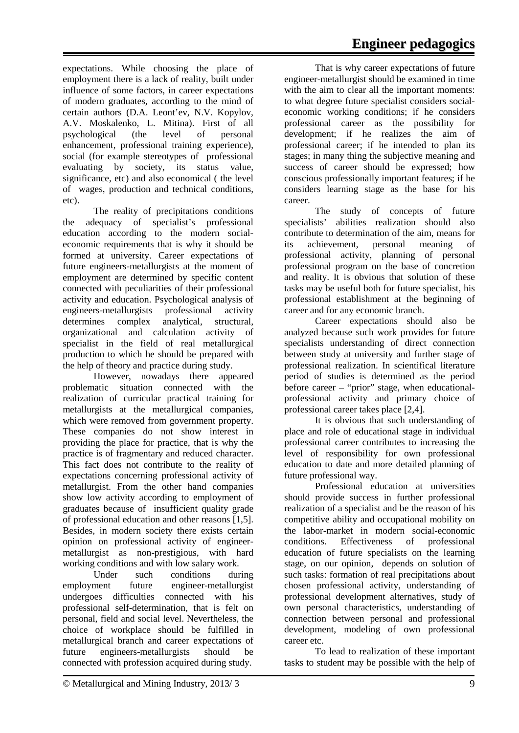expectations. While choosing the place of employment there is a lack of reality, built under influence of some factors, in career expectations of modern graduates, according to the mind of certain authors (D.A. Leont'ev, N.V. Kopylov, A.V. Moskalenko, L. Mitina). First of all psychological (the level of personal enhancement, professional training experience), social (for example stereotypes of professional evaluating by society, its status value, significance, etc) and also economical ( the level of wages, production and technical conditions, etc).

The reality of precipitations conditions the adequacy of specialist's professional education according to the modern socialeconomic requirements that is why it should be formed at university. Career expectations of future engineers-metallurgists at the moment of employment are determined by specific content connected with peculiarities of their professional activity and education. Psychological analysis of engineers-metallurgists professional activity determines complex analytical, structural, organizational and calculation activity of specialist in the field of real metallurgical production to which he should be prepared with the help of theory and practice during study.

However, nowadays there appeared problematic situation connected with the realization of curricular practical training for metallurgists at the metallurgical companies, which were removed from government property. These companies do not show interest in providing the place for practice, that is why the practice is of fragmentary and reduced character. This fact does not contribute to the reality of expectations concerning professional activity of metallurgist. From the other hand companies show low activity according to employment of graduates because of insufficient quality grade of professional education and other reasons [1,5]. Besides, in modern society there exists certain opinion on professional activity of engineermetallurgist as non-prestigious, with hard working conditions and with low salary work.

Under such conditions during employment future engineer-metallurgist undergoes difficulties connected with his professional self-determination, that is felt on personal, field and social level. Nevertheless, the choice of workplace should be fulfilled in metallurgical branch and career expectations of future engineers-metallurgists should be connected with profession acquired during study.

That is why career expectations of future engineer-metallurgist should be examined in time with the aim to clear all the important moments: to what degree future specialist considers socialeconomic working conditions; if he considers professional career as the possibility for development; if he realizes the aim of professional career; if he intended to plan its stages; in many thing the subjective meaning and success of career should be expressed; how conscious professionally important features; if he considers learning stage as the base for his career.

The study of concepts of future specialists' abilities realization should also contribute to determination of the aim, means for its achievement, personal meaning of professional activity, planning of personal professional program on the base of concretion and reality. It is obvious that solution of these tasks may be useful both for future specialist, his professional establishment at the beginning of career and for any economic branch.

Career expectations should also be analyzed because such work provides for future specialists understanding of direct connection between study at university and further stage of professional realization. In scientifical literature period of studies is determined as the period before career – "prior" stage, when educationalprofessional activity and primary choice of professional career takes place [2,4].

It is obvious that such understanding of place and role of educational stage in individual professional career contributes to increasing the level of responsibility for own professional education to date and more detailed planning of future professional way.

Professional education at universities should provide success in further professional realization of a specialist and be the reason of his competitive ability and occupational mobility on the labor-market in modern social-economic conditions. Effectiveness of professional education of future specialists on the learning stage, on our opinion, depends on solution of such tasks: formation of real precipitations about chosen professional activity, understanding of professional development alternatives, study of own personal characteristics, understanding of connection between personal and professional development, modeling of own professional career etc.

To lead to realization of these important tasks to student may be possible with the help of